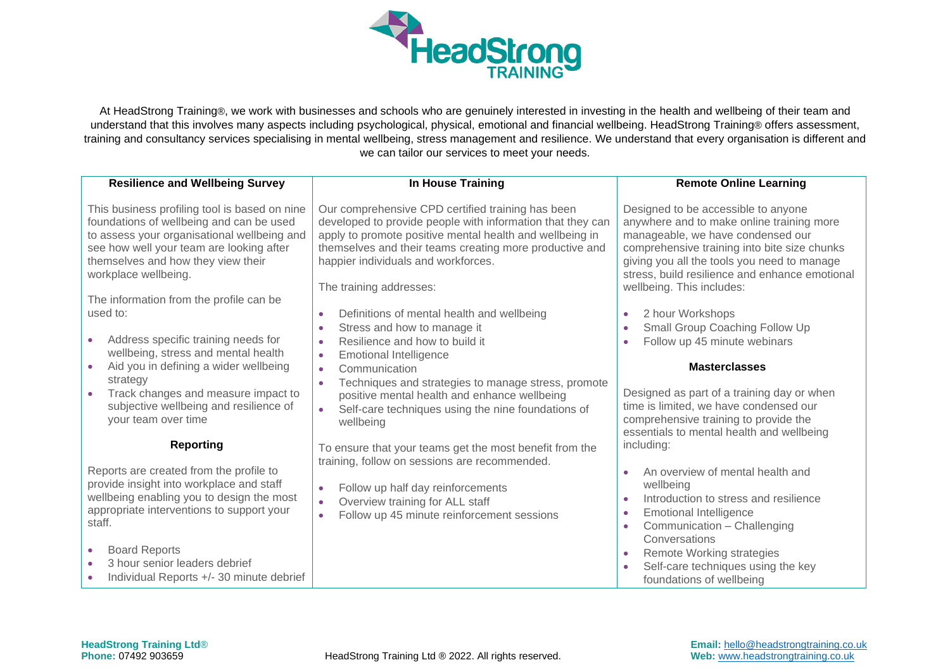

At HeadStrong Training®, we work with businesses and schools who are genuinely interested in investing in the health and wellbeing of their team and understand that this involves many aspects including psychological, physical, emotional and financial wellbeing. HeadStrong Training® offers assessment, training and consultancy services specialising in mental wellbeing, stress management and resilience. We understand that every organisation is different and we can tailor our services to meet your needs.

| <b>Resilience and Wellbeing Survey</b>                                                                                                                                                                                                             | In House Training                                                                                                                                                                                                                                                             | <b>Remote Online Learning</b>                                                                                                                                                                                                                                          |
|----------------------------------------------------------------------------------------------------------------------------------------------------------------------------------------------------------------------------------------------------|-------------------------------------------------------------------------------------------------------------------------------------------------------------------------------------------------------------------------------------------------------------------------------|------------------------------------------------------------------------------------------------------------------------------------------------------------------------------------------------------------------------------------------------------------------------|
| This business profiling tool is based on nine<br>foundations of wellbeing and can be used<br>to assess your organisational wellbeing and<br>see how well your team are looking after<br>themselves and how they view their<br>workplace wellbeing. | Our comprehensive CPD certified training has been<br>developed to provide people with information that they can<br>apply to promote positive mental health and wellbeing in<br>themselves and their teams creating more productive and<br>happier individuals and workforces. | Designed to be accessible to anyone<br>anywhere and to make online training more<br>manageable, we have condensed our<br>comprehensive training into bite size chunks<br>giving you all the tools you need to manage<br>stress, build resilience and enhance emotional |
|                                                                                                                                                                                                                                                    | The training addresses:                                                                                                                                                                                                                                                       | wellbeing. This includes:                                                                                                                                                                                                                                              |
| The information from the profile can be<br>used to:<br>Address specific training needs for<br>wellbeing, stress and mental health                                                                                                                  | Definitions of mental health and wellbeing<br>$\bullet$<br>Stress and how to manage it<br>$\bullet$<br>Resilience and how to build it<br>$\bullet$<br><b>Emotional Intelligence</b><br>$\bullet$                                                                              | 2 hour Workshops<br>$\bullet$<br>Small Group Coaching Follow Up<br>Follow up 45 minute webinars<br>$\bullet$                                                                                                                                                           |
| Aid you in defining a wider wellbeing<br>strategy                                                                                                                                                                                                  | Communication<br>$\bullet$<br>Techniques and strategies to manage stress, promote<br>$\bullet$                                                                                                                                                                                | <b>Masterclasses</b>                                                                                                                                                                                                                                                   |
| Track changes and measure impact to<br>subjective wellbeing and resilience of<br>your team over time                                                                                                                                               | positive mental health and enhance wellbeing<br>Self-care techniques using the nine foundations of<br>$\bullet$<br>wellbeing                                                                                                                                                  | Designed as part of a training day or when<br>time is limited, we have condensed our<br>comprehensive training to provide the<br>essentials to mental health and wellbeing                                                                                             |
| <b>Reporting</b>                                                                                                                                                                                                                                   | To ensure that your teams get the most benefit from the                                                                                                                                                                                                                       | including:                                                                                                                                                                                                                                                             |
| Reports are created from the profile to<br>provide insight into workplace and staff<br>wellbeing enabling you to design the most<br>appropriate interventions to support your<br>staff.                                                            | training, follow on sessions are recommended.<br>Follow up half day reinforcements<br>$\bullet$<br>Overview training for ALL staff<br>Follow up 45 minute reinforcement sessions                                                                                              | An overview of mental health and<br>wellbeing<br>Introduction to stress and resilience<br>$\bullet$<br><b>Emotional Intelligence</b><br>$\bullet$<br>Communication - Challenging                                                                                       |
| <b>Board Reports</b><br>$\bullet$<br>3 hour senior leaders debrief<br>Individual Reports +/- 30 minute debrief                                                                                                                                     |                                                                                                                                                                                                                                                                               | Conversations<br>Remote Working strategies<br>Self-care techniques using the key<br>foundations of wellbeing                                                                                                                                                           |